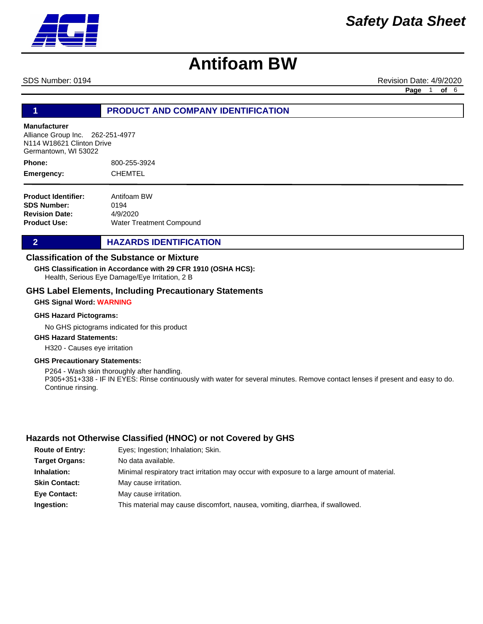SDS Number: 0194 **Revision Date: 4/9/2020** Revision Date: 4/9/2020

**Page** 1 **of** 6

### **1 PRODUCT AND COMPANY IDENTIFICATION**

#### **Manufacturer**

Alliance Group Inc. 262-251-4977 N114 W18621 Clinton Drive Germantown, WI 53022

800-255-3924 **CHEMTEL Phone: Emergency:**

**Product Identifier: SDS Number: Revision Date: Product Use:** Antifoam BW 0194 4/9/2020 Water Treatment Compound

#### **2 HAZARDS IDENTIFICATION**

#### **Classification of the Substance or Mixture**

**GHS Classification in Accordance with 29 CFR 1910 (OSHA HCS):**

Health, Serious Eye Damage/Eye Irritation, 2 B

#### **GHS Label Elements, Including Precautionary Statements**

#### **GHS Signal Word: WARNING**

#### **GHS Hazard Pictograms:**

No GHS pictograms indicated for this product

### **GHS Hazard Statements:**

H320 - Causes eye irritation

#### **GHS Precautionary Statements:**

P264 - Wash skin thoroughly after handling. P305+351+338 - IF IN EYES: Rinse continuously with water for several minutes. Remove contact lenses if present and easy to do. Continue rinsing.

### **Hazards not Otherwise Classified (HNOC) or not Covered by GHS**

| <b>Route of Entry:</b> | Eyes; Ingestion; Inhalation; Skin.                                                          |
|------------------------|---------------------------------------------------------------------------------------------|
| <b>Target Organs:</b>  | No data available.                                                                          |
| Inhalation:            | Minimal respiratory tract irritation may occur with exposure to a large amount of material. |
| <b>Skin Contact:</b>   | May cause irritation.                                                                       |
| <b>Eve Contact:</b>    | May cause irritation.                                                                       |
| Ingestion:             | This material may cause discomfort, nausea, vomiting, diarrhea, if swallowed.               |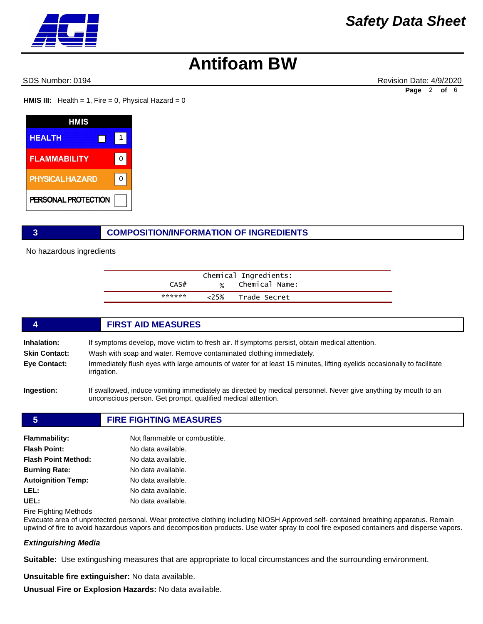SDS Number: 0194 **Revision Date: 4/9/2020** Revision Date: 4/9/2020

**Page** 2 **of** 6

**HMIS III:** Health = 1, Fire = 0, Physical Hazard =  $0$ 

| HMIS                   |   |
|------------------------|---|
| <b>HEALTH</b>          |   |
| <b>FLAMMABILITY</b>    | O |
| <b>PHYSICAL HAZARD</b> | ŋ |
| PERSONAL PROTECTION    |   |

#### **3 COMPOSITION/INFORMATION OF INGREDIENTS**

No hazardous ingredients

|        |       | Chemical Ingredients: |
|--------|-------|-----------------------|
| CAS#   |       | % Chemical Name:      |
| ****** | 5% <2 | Trade Secret          |

#### **4 FIRST AID MEASURES**

| <b>Inhalation:</b>   | If symptoms develop, move victim to fresh air. If symptoms persist, obtain medical attention.                                                |  |
|----------------------|----------------------------------------------------------------------------------------------------------------------------------------------|--|
| <b>Skin Contact:</b> | Wash with soap and water. Remove contaminated clothing immediately.                                                                          |  |
| Eye Contact:         | Immediately flush eyes with large amounts of water for at least 15 minutes, lifting eyelids occasionally to facilitate<br><i>irrigation.</i> |  |

**Ingestion:** If swallowed, induce vomiting immediately as directed by medical personnel. Never give anything by mouth to an unconscious person. Get prompt, qualified medical attention.

#### **5 FIRE FIGHTING MEASURES**

| Flammability:              | Not flammable or combustible. |
|----------------------------|-------------------------------|
| <b>Flash Point:</b>        | No data available.            |
| <b>Flash Point Method:</b> | No data available.            |
| <b>Burning Rate:</b>       | No data available.            |
| <b>Autoignition Temp:</b>  | No data available.            |
| LEL:                       | No data available.            |
| UEL:                       | No data available.            |

Fire Fighting Methods

Evacuate area of unprotected personal. Wear protective clothing including NIOSH Approved self- contained breathing apparatus. Remain upwind of fire to avoid hazardous vapors and decomposition products. Use water spray to cool fire exposed containers and disperse vapors.

#### *Extinguishing Media*

**Suitable:** Use extingushing measures that are appropriate to local circumstances and the surrounding environment.

**Unsuitable fire extinguisher:** No data available.

**Unusual Fire or Explosion Hazards:** No data available.

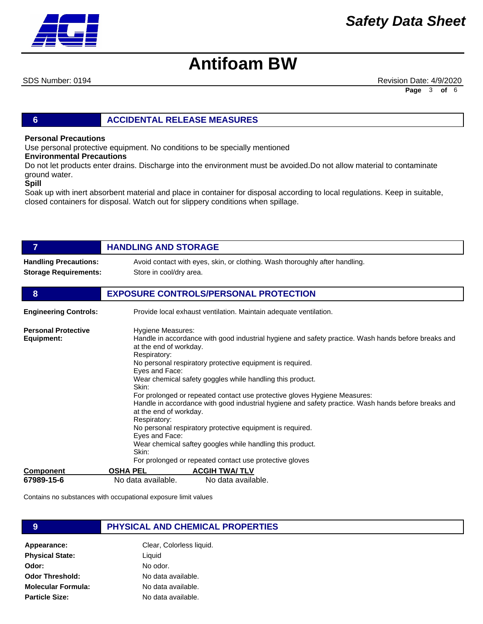

SDS Number: 0194 **Revision Date: 4/9/2020** Revision Date: 4/9/2020 **Page** 3 **of** 6

#### **6 ACCIDENTAL RELEASE MEASURES**

#### **Personal Precautions**

Use personal protective equipment. No conditions to be specially mentioned

#### **Environmental Precautions**

Do not let products enter drains. Discharge into the environment must be avoided.Do not allow material to contaminate ground water.

#### **Spill**

Soak up with inert absorbent material and place in container for disposal according to local regulations. Keep in suitable, closed containers for disposal. Watch out for slippery conditions when spillage.

| 7                                        | <b>HANDLING AND STORAGE</b>                                                                                                                                                                                                                                                                                                                                                                                                                                                                                                                                                                                                                                                                                                                                           |
|------------------------------------------|-----------------------------------------------------------------------------------------------------------------------------------------------------------------------------------------------------------------------------------------------------------------------------------------------------------------------------------------------------------------------------------------------------------------------------------------------------------------------------------------------------------------------------------------------------------------------------------------------------------------------------------------------------------------------------------------------------------------------------------------------------------------------|
| <b>Handling Precautions:</b>             | Avoid contact with eyes, skin, or clothing. Wash thoroughly after handling.                                                                                                                                                                                                                                                                                                                                                                                                                                                                                                                                                                                                                                                                                           |
| <b>Storage Requirements:</b>             | Store in cool/dry area.                                                                                                                                                                                                                                                                                                                                                                                                                                                                                                                                                                                                                                                                                                                                               |
| 8                                        | <b>EXPOSURE CONTROLS/PERSONAL PROTECTION</b>                                                                                                                                                                                                                                                                                                                                                                                                                                                                                                                                                                                                                                                                                                                          |
| <b>Engineering Controls:</b>             | Provide local exhaust ventilation. Maintain adequate ventilation.                                                                                                                                                                                                                                                                                                                                                                                                                                                                                                                                                                                                                                                                                                     |
| <b>Personal Protective</b><br>Equipment: | Hygiene Measures:<br>Handle in accordance with good industrial hygiene and safety practice. Wash hands before breaks and<br>at the end of workday.<br>Respiratory:<br>No personal respiratory protective equipment is required.<br>Eyes and Face:<br>Wear chemical safety goggles while handling this product.<br>Skin:<br>For prolonged or repeated contact use protective gloves Hygiene Measures:<br>Handle in accordance with good industrial hygiene and safety practice. Wash hands before breaks and<br>at the end of workday.<br>Respiratory:<br>No personal respiratory protective equipment is required.<br>Eyes and Face:<br>Wear chemical saftey googles while handling this product.<br>Skin:<br>For prolonged or repeated contact use protective gloves |
| <b>Component</b>                         | <b>ACGIH TWA/TLV</b><br><b>OSHA PEL</b>                                                                                                                                                                                                                                                                                                                                                                                                                                                                                                                                                                                                                                                                                                                               |
| 67989-15-6                               | No data available.<br>No data available.                                                                                                                                                                                                                                                                                                                                                                                                                                                                                                                                                                                                                                                                                                                              |

Contains no substances with occupational exposure limit values

#### **9 PHYSICAL AND CHEMICAL PROPERTIES**

Appearance: Clear, Colorless liquid. **Physical State: Odor: Odor Threshold: Molecular Formula: Particle Size:** Liquid No odor. No data available. No data available. No data available.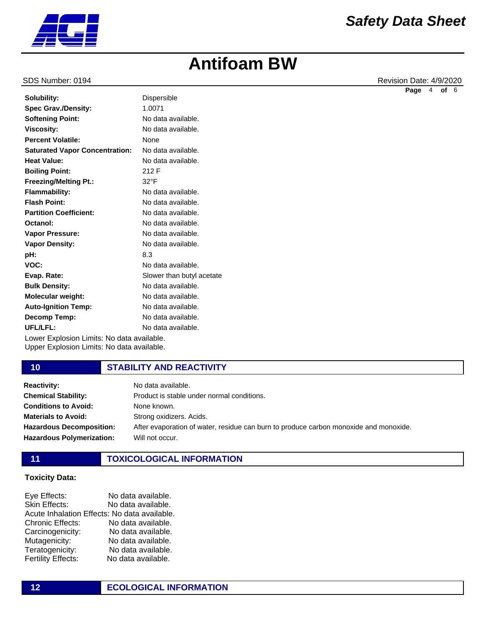

SDS Number: 0194 **Revision Date: 4/9/2020** Revision Date: 4/9/2020 **Page** 4 **of** 6

|                                           |                           | r ay |
|-------------------------------------------|---------------------------|------|
| Solubility:                               | <b>Dispersible</b>        |      |
| <b>Spec Grav./Density:</b>                | 1.0071                    |      |
| <b>Softening Point:</b>                   | No data available.        |      |
| <b>Viscosity:</b>                         | No data available.        |      |
| <b>Percent Volatile:</b>                  | None                      |      |
| <b>Saturated Vapor Concentration:</b>     | No data available.        |      |
| <b>Heat Value:</b>                        | No data available.        |      |
| <b>Boiling Point:</b>                     | 212 F                     |      |
| <b>Freezing/Melting Pt.:</b>              | $32^{\circ}F$             |      |
| <b>Flammability:</b>                      | No data available.        |      |
| <b>Flash Point:</b>                       | No data available.        |      |
| <b>Partition Coefficient:</b>             | No data available.        |      |
| Octanol:                                  | No data available.        |      |
| <b>Vapor Pressure:</b>                    | No data available.        |      |
| <b>Vapor Density:</b>                     | No data available.        |      |
| pH:                                       | 8.3                       |      |
| VOC:                                      | No data available.        |      |
| Evap. Rate:                               | Slower than butyl acetate |      |
| <b>Bulk Density:</b>                      | No data available.        |      |
| Molecular weight:                         | No data available.        |      |
| <b>Auto-Ignition Temp:</b>                | No data available.        |      |
| Decomp Temp:                              | No data available.        |      |
| UFL/LFL:                                  | No data available.        |      |
| Lauss Evalogias Limitar Na data availabla |                           |      |

Lower Explosion Limits: No data available. Upper Explosion Limits: No data available.

#### **10 STABILITY AND REACTIVITY**

| <b>Reactivity:</b>               | No data available.                                                                    |
|----------------------------------|---------------------------------------------------------------------------------------|
| <b>Chemical Stability:</b>       | Product is stable under normal conditions.                                            |
| <b>Conditions to Avoid:</b>      | None known.                                                                           |
| <b>Materials to Avoid:</b>       | Strong oxidizers. Acids.                                                              |
| <b>Hazardous Decomposition:</b>  | After evaporation of water, residue can burn to produce carbon monoxide and monoxide. |
| <b>Hazardous Polymerization:</b> | Will not occur.                                                                       |
|                                  |                                                                                       |

### **11 TOXICOLOGICAL INFORMATION**

#### **Toxicity Data:**

Eye Effects: No data available. Skin Effects: No data available. Acute Inhalation Effects: No data available. Chronic Effects: No data available. Carcinogenicity: No data available. Mutagenicity: No data available. Teratogenicity: No data available.<br>
Fertility Effects: No data available. No data available.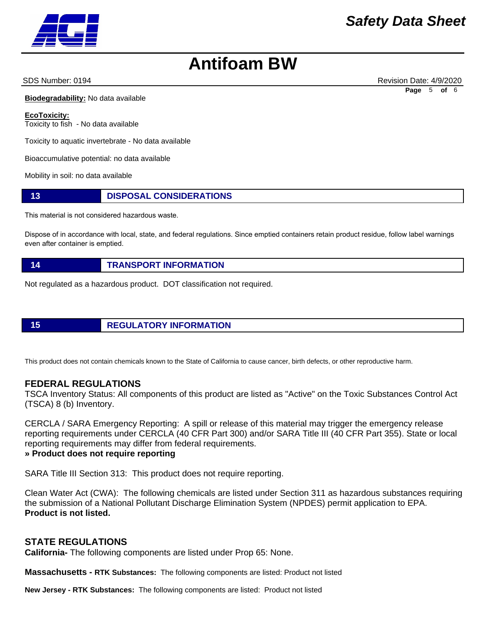SDS Number: 0194 **Revision Date: 4/9/2020** Revision Date: 4/9/2020 **Page** 5 **of** 6

**Biodegradability:** No data available

**EcoToxicity:** Toxicity to fish - No data available

Toxicity to aquatic invertebrate - No data available

Bioaccumulative potential: no data available

Mobility in soil: no data available

#### **13 DISPOSAL CONSIDERATIONS**

This material is not considered hazardous waste.

Dispose of in accordance with local, state, and federal regulations. Since emptied containers retain product residue, follow label warnings even after container is emptied.

#### **14 TRANSPORT INFORMATION**

Not regulated as a hazardous product. DOT classification not required.

**15 REGULATORY INFORMATION**

This product does not contain chemicals known to the State of California to cause cancer, birth defects, or other reproductive harm.

#### **FEDERAL REGULATIONS**

TSCA Inventory Status: All components of this product are listed as "Active" on the Toxic Substances Control Act (TSCA) 8 (b) Inventory.

CERCLA / SARA Emergency Reporting: A spill or release of this material may trigger the emergency release reporting requirements under CERCLA (40 CFR Part 300) and/or SARA Title III (40 CFR Part 355). State or local reporting requirements may differ from federal requirements.

#### **» Product does not require reporting**

SARA Title III Section 313: This product does not require reporting.

Clean Water Act (CWA): The following chemicals are listed under Section 311 as hazardous substances requiring the submission of a National Pollutant Discharge Elimination System (NPDES) permit application to EPA. **Product is not listed.**

### **STATE REGULATIONS**

**California-** The following components are listed under Prop 65: None.

**Massachusetts - RTK Substances:** The following components are listed: Product not listed

**New Jersey - RTK Substances:** The following components are listed: Product not listed